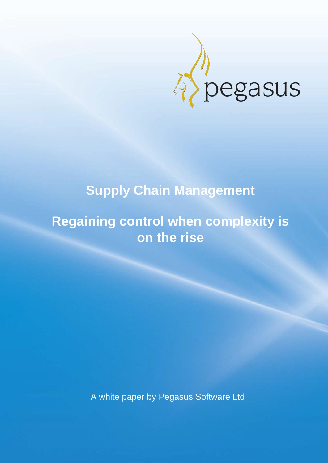

# **Supply Chain Management**

## **Regaining control when complexity is on the rise**

A white paper by Pegasus Software Ltd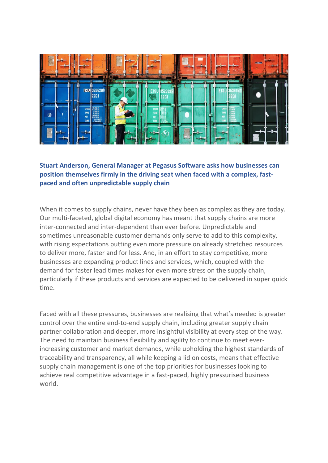

**Stuart Anderson, General Manager at Pegasus Software asks how businesses can position themselves firmly in the driving seat when faced with a complex, fastpaced and often unpredictable supply chain** 

When it comes to supply chains, never have they been as complex as they are today. Our multi-faceted, global digital economy has meant that supply chains are more inter-connected and inter-dependent than ever before. Unpredictable and sometimes unreasonable customer demands only serve to add to this complexity, with rising expectations putting even more pressure on already stretched resources to deliver more, faster and for less. And, in an effort to stay competitive, more businesses are expanding product lines and services, which, coupled with the demand for faster lead times makes for even more stress on the supply chain, particularly if these products and services are expected to be delivered in super quick time.

Faced with all these pressures, businesses are realising that what's needed is greater control over the entire end-to-end supply chain, including greater supply chain partner collaboration and deeper, more insightful visibility at every step of the way. The need to maintain business flexibility and agility to continue to meet everincreasing customer and market demands, while upholding the highest standards of traceability and transparency, all while keeping a lid on costs, means that effective supply chain management is one of the top priorities for businesses looking to achieve real competitive advantage in a fast-paced, highly pressurised business world.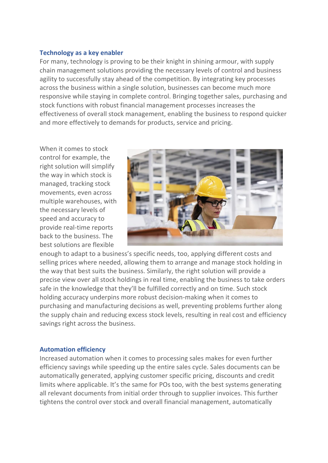#### **Technology as a key enabler**

For many, technology is proving to be their knight in shining armour, with supply chain management solutions providing the necessary levels of control and business agility to successfully stay ahead of the competition. By integrating key processes across the business within a single solution, businesses can become much more responsive while staying in complete control. Bringing together sales, purchasing and stock functions with robust financial management processes increases the effectiveness of overall stock management, enabling the business to respond quicker and more effectively to demands for products, service and pricing.

When it comes to stock control for example, the right solution will simplify the way in which stock is managed, tracking stock movements, even across multiple warehouses, with the necessary levels of speed and accuracy to provide real-time reports back to the business. The best solutions are flexible



enough to adapt to a business's specific needs, too, applying different costs and selling prices where needed, allowing them to arrange and manage stock holding in the way that best suits the business. Similarly, the right solution will provide a precise view over all stock holdings in real time, enabling the business to take orders safe in the knowledge that they'll be fulfilled correctly and on time. Such stock holding accuracy underpins more robust decision-making when it comes to purchasing and manufacturing decisions as well, preventing problems further along the supply chain and reducing excess stock levels, resulting in real cost and efficiency savings right across the business.

#### **Automation efficiency**

Increased automation when it comes to processing sales makes for even further efficiency savings while speeding up the entire sales cycle. Sales documents can be automatically generated, applying customer specific pricing, discounts and credit limits where applicable. It's the same for POs too, with the best systems generating all relevant documents from initial order through to supplier invoices. This further tightens the control over stock and overall financial management, automatically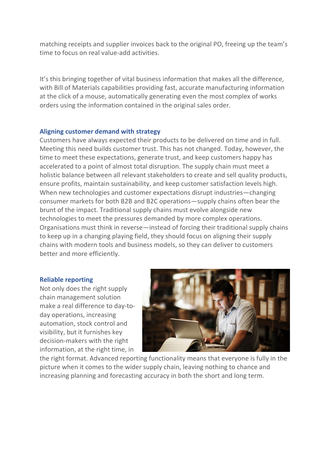matching receipts and supplier invoices back to the original PO, freeing up the team's time to focus on real value-add activities.

It's this bringing together of vital business information that makes all the difference, with Bill of Materials capabilities providing fast, accurate manufacturing information at the click of a mouse, automatically generating even the most complex of works orders using the information contained in the original sales order.

### **Aligning customer demand with strategy**

Customers have always expected their products to be delivered on time and in full. Meeting this need builds customer trust. This has not changed. Today, however, the time to meet these expectations, generate trust, and keep customers happy has accelerated to a point of almost total disruption. The supply chain must meet a holistic balance between all relevant stakeholders to create and sell quality products, ensure profits, maintain sustainability, and keep customer satisfaction levels high. When new technologies and customer expectations disrupt industries—changing consumer markets for both B2B and B2C operations—supply chains often bear the brunt of the impact. Traditional supply chains must evolve alongside new technologies to meet the pressures demanded by more complex operations. Organisations must think in reverse—instead of forcing their traditional supply chains to keep up in a changing playing field, they should focus on aligning their supply chains with modern tools and business models, so they can deliver to customers better and more efficiently.

#### **Reliable reporting**

Not only does the right supply chain management solution make a real difference to day-today operations, increasing automation, stock control and visibility, but it furnishes key decision-makers with the right information, at the right time, in



the right format. Advanced reporting functionality means that everyone is fully in the picture when it comes to the wider supply chain, leaving nothing to chance and increasing planning and forecasting accuracy in both the short and long term.